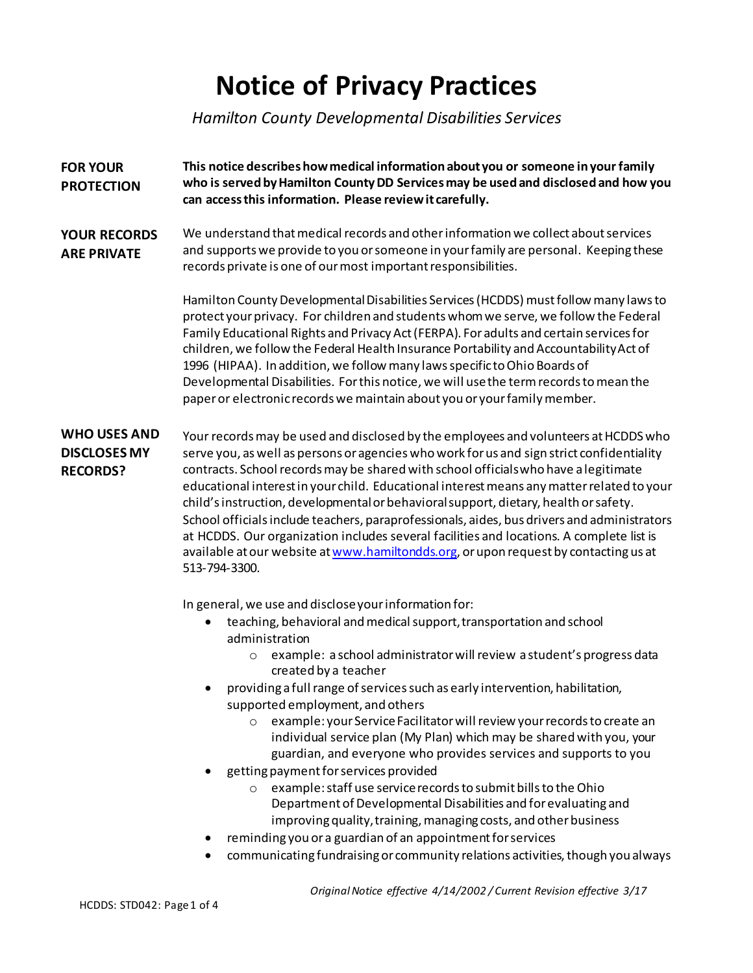## **Notice of Privacy Practices**

*Hamilton County Developmental Disabilities Services*

| <b>FOR YOUR</b><br><b>PROTECTION</b>                          | This notice describes how medical information about you or someone in your family<br>who is served by Hamilton County DD Services may be used and disclosed and how you<br>can access this information. Please review it carefully.                                                                                                                                                                                                                                                                                                                                                                                                                                                                                                                                                                                                                                                                                                                                                                    |  |
|---------------------------------------------------------------|--------------------------------------------------------------------------------------------------------------------------------------------------------------------------------------------------------------------------------------------------------------------------------------------------------------------------------------------------------------------------------------------------------------------------------------------------------------------------------------------------------------------------------------------------------------------------------------------------------------------------------------------------------------------------------------------------------------------------------------------------------------------------------------------------------------------------------------------------------------------------------------------------------------------------------------------------------------------------------------------------------|--|
| <b>YOUR RECORDS</b><br><b>ARE PRIVATE</b>                     | We understand that medical records and other information we collect about services<br>and supports we provide to you or someone in your family are personal. Keeping these<br>records private is one of our most important responsibilities.                                                                                                                                                                                                                                                                                                                                                                                                                                                                                                                                                                                                                                                                                                                                                           |  |
|                                                               | Hamilton County Developmental Disabilities Services (HCDDS) must follow many laws to<br>protect your privacy. For children and students whom we serve, we follow the Federal<br>Family Educational Rights and Privacy Act (FERPA). For adults and certain services for<br>children, we follow the Federal Health Insurance Portability and Accountability Act of<br>1996 (HIPAA). In addition, we follow many laws specific to Ohio Boards of<br>Developmental Disabilities. For this notice, we will use the term records to mean the<br>paper or electronic records we maintain about you or your family member.                                                                                                                                                                                                                                                                                                                                                                                     |  |
| <b>WHO USES AND</b><br><b>DISCLOSES MY</b><br><b>RECORDS?</b> | Your records may be used and disclosed by the employees and volunteers at HCDDS who<br>serve you, as well as persons or agencies who work for us and sign strict confidentiality<br>contracts. School records may be shared with school officials who have a legitimate<br>educational interest in your child. Educational interest means any matter related to your<br>child's instruction, developmental or behavioral support, dietary, health or safety.<br>School officials include teachers, paraprofessionals, aides, bus drivers and administrators<br>at HCDDS. Our organization includes several facilities and locations. A complete list is<br>available at our website at www.hamiltondds.org, or upon request by contacting us at<br>513-794-3300.                                                                                                                                                                                                                                       |  |
|                                                               | In general, we use and disclose your information for:<br>teaching, behavioral and medical support, transportation and school<br>administration<br>example: a school administrator will review a student's progress data<br>$\circ$<br>created by a teacher<br>providing a full range of services such as early intervention, habilitation,<br>supported employment, and others<br>example: your Service Facilitator will review your records to create an<br>individual service plan (My Plan) which may be shared with you, your<br>guardian, and everyone who provides services and supports to you<br>getting payment for services provided<br>example: staff use service records to submit bills to the Ohio<br>Department of Developmental Disabilities and for evaluating and<br>improving quality, training, managing costs, and other business<br>reminding you or a guardian of an appointment for services<br>communicating fundraising or community relations activities, though you always |  |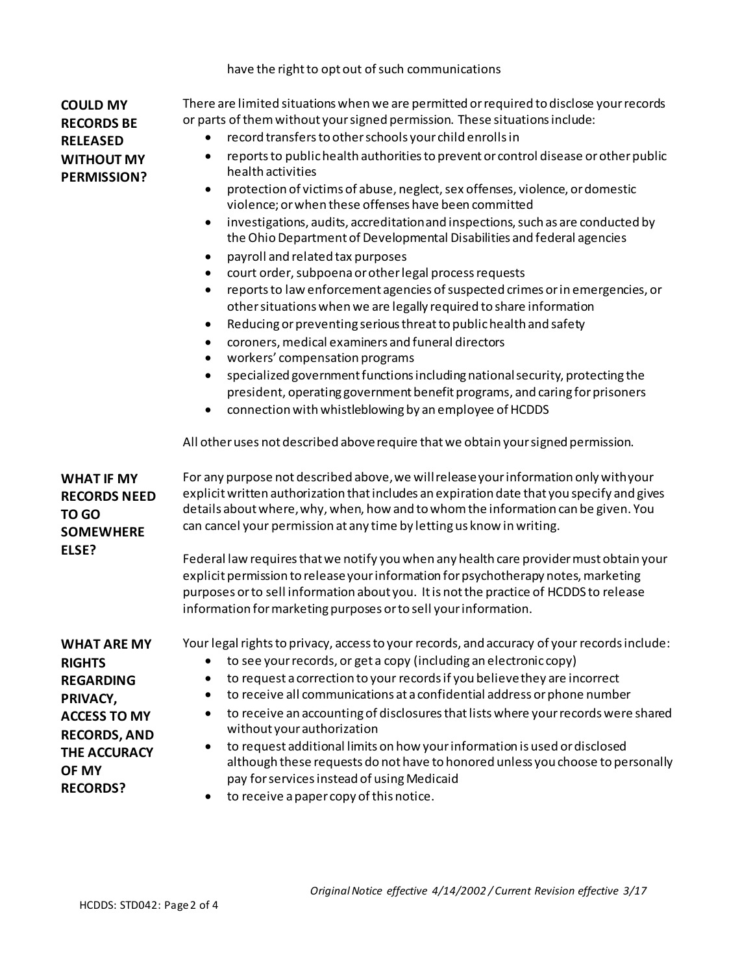## have the right to opt out of such communications

| <b>COULD MY</b>                            | There are limited situations when we are permitted or required to disclose your records<br>or parts of them without your signed permission. These situations include:  |  |  |
|--------------------------------------------|------------------------------------------------------------------------------------------------------------------------------------------------------------------------|--|--|
| <b>RECORDS BE</b>                          |                                                                                                                                                                        |  |  |
| <b>RELEASED</b>                            | record transfers to other schools your child enrolls in                                                                                                                |  |  |
| <b>WITHOUT MY</b><br><b>PERMISSION?</b>    | reports to public health authorities to prevent or control disease or other public<br>$\bullet$<br>health activities                                                   |  |  |
|                                            | protection of victims of abuse, neglect, sex offenses, violence, or domestic<br>$\bullet$<br>violence; or when these offenses have been committed                      |  |  |
|                                            | investigations, audits, accreditation and inspections, such as are conducted by<br>$\bullet$<br>the Ohio Department of Developmental Disabilities and federal agencies |  |  |
|                                            | payroll and related tax purposes<br>$\bullet$                                                                                                                          |  |  |
|                                            | court order, subpoena or other legal process requests<br>$\bullet$                                                                                                     |  |  |
|                                            | reports to law enforcement agencies of suspected crimes or in emergencies, or<br>$\bullet$<br>other situations when we are legally required to share information       |  |  |
|                                            | Reducing or preventing serious threat to public health and safety<br>$\bullet$                                                                                         |  |  |
|                                            | coroners, medical examiners and funeral directors<br>$\bullet$<br>workers' compensation programs                                                                       |  |  |
|                                            | specialized government functions including national security, protecting the<br>$\bullet$                                                                              |  |  |
|                                            | president, operating government benefit programs, and caring for prisoners                                                                                             |  |  |
|                                            | connection with whistleblowing by an employee of HCDDS                                                                                                                 |  |  |
|                                            | All other uses not described above require that we obtain your signed permission.                                                                                      |  |  |
| <b>WHAT IF MY</b>                          | For any purpose not described above, we will release your information only with your                                                                                   |  |  |
| <b>RECORDS NEED</b>                        | explicit written authorization that includes an expiration date that you specify and gives                                                                             |  |  |
| TO GO                                      | details about where, why, when, how and to whom the information can be given. You<br>can cancel your permission at any time by letting us know in writing.             |  |  |
| <b>SOMEWHERE</b>                           |                                                                                                                                                                        |  |  |
| ELSE?                                      | Federal law requires that we notify you when any health care provider must obtain your                                                                                 |  |  |
|                                            | explicit permission to release your information for psychotherapy notes, marketing                                                                                     |  |  |
|                                            | purposes or to sell information about you. It is not the practice of HCDDS to release                                                                                  |  |  |
|                                            | information for marketing purposes or to sell your information.                                                                                                        |  |  |
| <b>WHAT ARE MY</b>                         | Your legal rights to privacy, access to your records, and accuracy of your records include:                                                                            |  |  |
| <b>RIGHTS</b>                              | to see your records, or get a copy (including an electronic copy)                                                                                                      |  |  |
| <b>REGARDING</b>                           | to request a correction to your records if you believe they are incorrect                                                                                              |  |  |
| PRIVACY,                                   | to receive all communications at a confidential address or phone number                                                                                                |  |  |
| <b>ACCESS TO MY</b>                        | to receive an accounting of disclosures that lists where your records were shared<br>$\bullet$<br>without your authorization                                           |  |  |
| <b>RECORDS, AND</b><br><b>THE ACCURACY</b> | to request additional limits on how your information is used or disclosed<br>$\bullet$                                                                                 |  |  |
| OF MY                                      | although these requests do not have to honored unless you choose to personally                                                                                         |  |  |
| <b>RECORDS?</b>                            | pay for services instead of using Medicaid<br>to receive a paper copy of this notice.                                                                                  |  |  |
|                                            |                                                                                                                                                                        |  |  |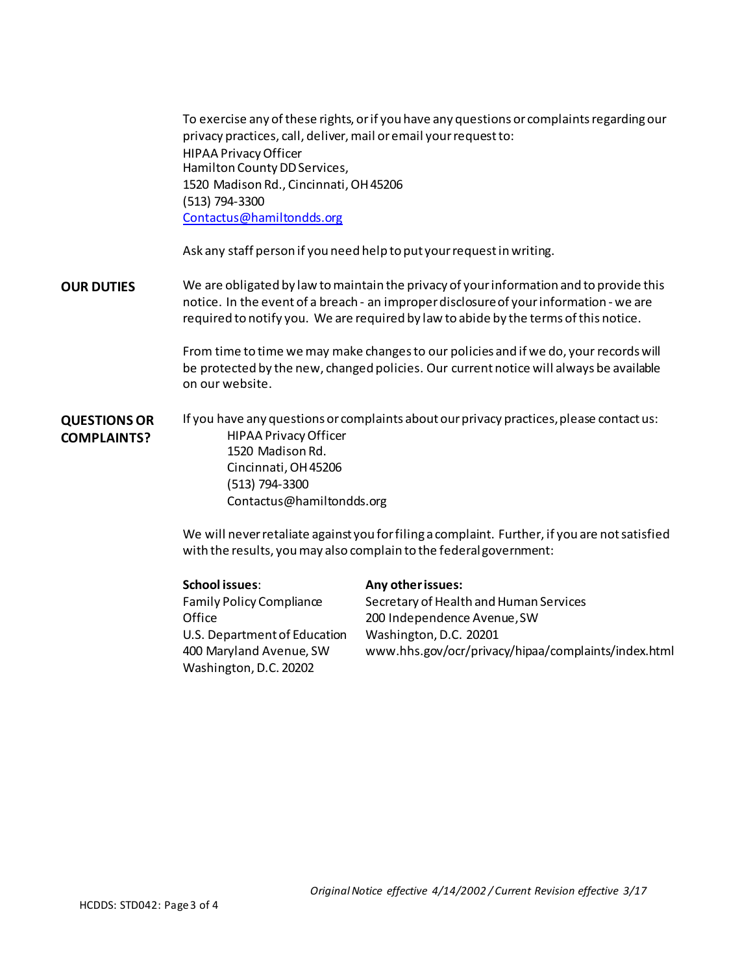To exercise any of these rights, or if you have any questions or complaints regarding our privacy practices, call, deliver, mail or email your request to: HIPAA Privacy Officer Hamilton County DD Services, 1520 Madison Rd., Cincinnati, OH45206 (513) 794-3300 [Contactus@hamiltondds.org](mailto:Contactus@hamiltondds.org)

Ask any staff person if you need help to put your request in writing.

**OUR DUTIES** We are obligated by law tomaintain the privacy of your information and to provide this notice. In the event of a breach - an improperdisclosure of your information - we are required to notify you. We are required by law to abide by the terms of this notice.

> From time to time we may make changesto our policies and if we do, your records will be protected by the new, changed policies. Our current notice will always be available on our website.

**QUESTIONSOR COMPLAINTS?** If you have any questions or complaints about our privacy practices, please contact us: HIPAA Privacy Officer 1520 Madison Rd. Cincinnati, OH45206 (513) 794-3300 [Contactus@hamiltondds.org](mailto:Contactus@hamiltondds.org)

> We will never retaliate against you for filing a complaint. Further, if you are notsatisfied with the results, youmay also complain to the federalgovernment:

| <b>School issues:</b>        | Any other issues:                                   |
|------------------------------|-----------------------------------------------------|
| Family Policy Compliance     | Secretary of Health and Human Services              |
| Office                       | 200 Independence Avenue, SW                         |
| U.S. Department of Education | Washington, D.C. 20201                              |
| 400 Maryland Avenue, SW      | www.hhs.gov/ocr/privacy/hipaa/complaints/index.html |
| Washington, D.C. 20202       |                                                     |